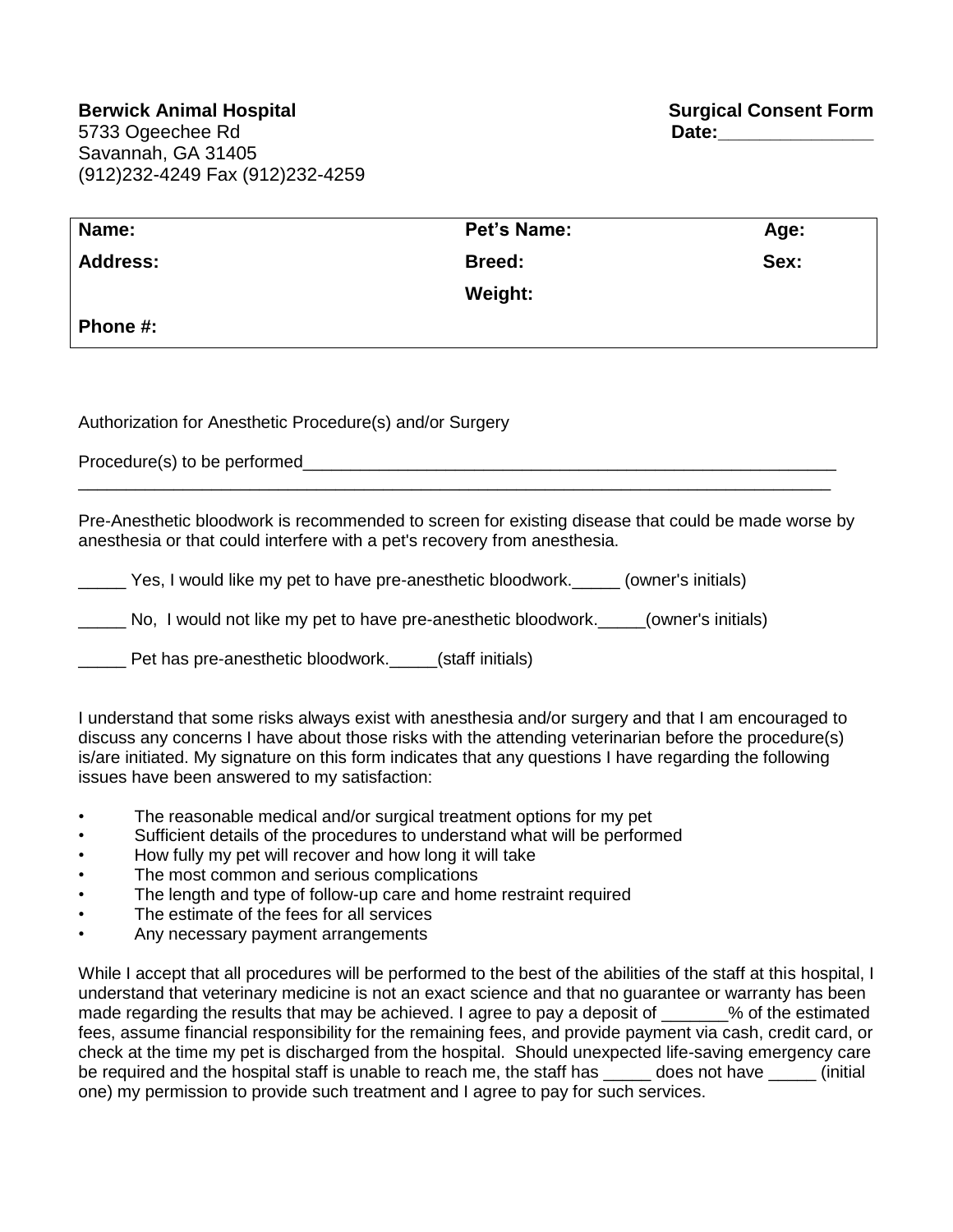| Name:           | Pet's Name:   | Age: |
|-----------------|---------------|------|
| <b>Address:</b> | <b>Breed:</b> | Sex: |
|                 | Weight:       |      |
| Phone #:        |               |      |

Authorization for Anesthetic Procedure(s) and/or Surgery

Procedure(s) to be performed\_\_\_\_\_\_\_\_\_\_\_\_\_\_\_\_\_\_\_\_\_\_\_\_\_\_\_\_\_\_\_\_\_\_\_\_\_\_\_\_\_\_\_\_\_\_\_\_\_\_\_\_\_\_\_\_

Pre-Anesthetic bloodwork is recommended to screen for existing disease that could be made worse by anesthesia or that could interfere with a pet's recovery from anesthesia.

\_\_\_\_\_\_\_\_\_\_\_\_\_\_\_\_\_\_\_\_\_\_\_\_\_\_\_\_\_\_\_\_\_\_\_\_\_\_\_\_\_\_\_\_\_\_\_\_\_\_\_\_\_\_\_\_\_\_\_\_\_\_\_\_\_\_\_\_\_\_\_\_\_\_\_\_\_\_\_

\_\_\_\_\_ Yes, I would like my pet to have pre-anesthetic bloodwork.\_\_\_\_\_ (owner's initials)

No, I would not like my pet to have pre-anesthetic bloodwork. \_\_\_\_\_(owner's initials)

Pet has pre-anesthetic bloodwork. (staff initials)

I understand that some risks always exist with anesthesia and/or surgery and that I am encouraged to discuss any concerns I have about those risks with the attending veterinarian before the procedure(s) is/are initiated. My signature on this form indicates that any questions I have regarding the following issues have been answered to my satisfaction:

- The reasonable medical and/or surgical treatment options for my pet
- Sufficient details of the procedures to understand what will be performed
- How fully my pet will recover and how long it will take
- The most common and serious complications
- The length and type of follow-up care and home restraint required
- The estimate of the fees for all services
- Any necessary payment arrangements

While I accept that all procedures will be performed to the best of the abilities of the staff at this hospital, I understand that veterinary medicine is not an exact science and that no guarantee or warranty has been made regarding the results that may be achieved. I agree to pay a deposit of  $\sim$  % of the estimated fees, assume financial responsibility for the remaining fees, and provide payment via cash, credit card, or check at the time my pet is discharged from the hospital. Should unexpected life-saving emergency care be required and the hospital staff is unable to reach me, the staff has does not have  $\frac{1}{2}$  (initial one) my permission to provide such treatment and I agree to pay for such services.